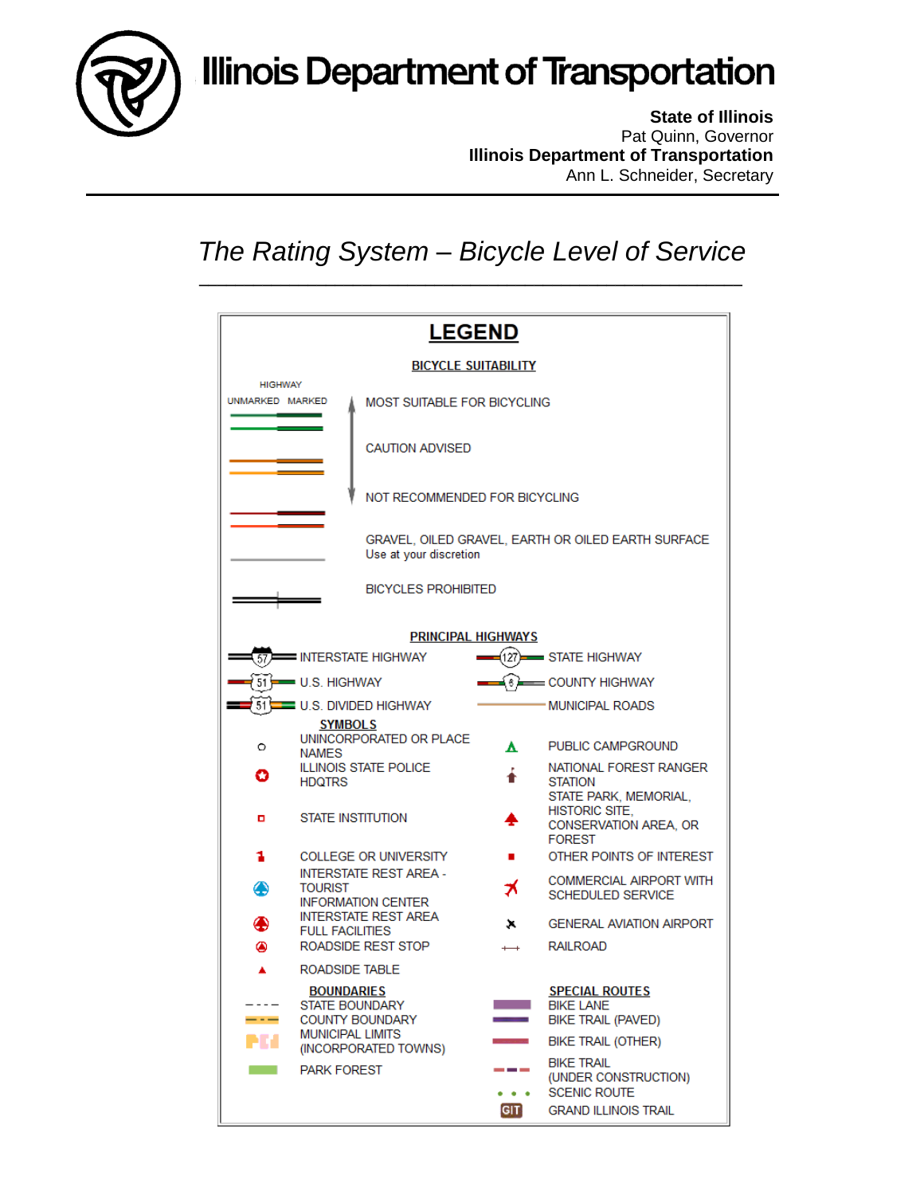

**State of Illinois** Pat Quinn, Governor **Illinois Department of Transportation** Ann L. Schneider, Secretary

## *The Rating System – Bicycle Level of Service*

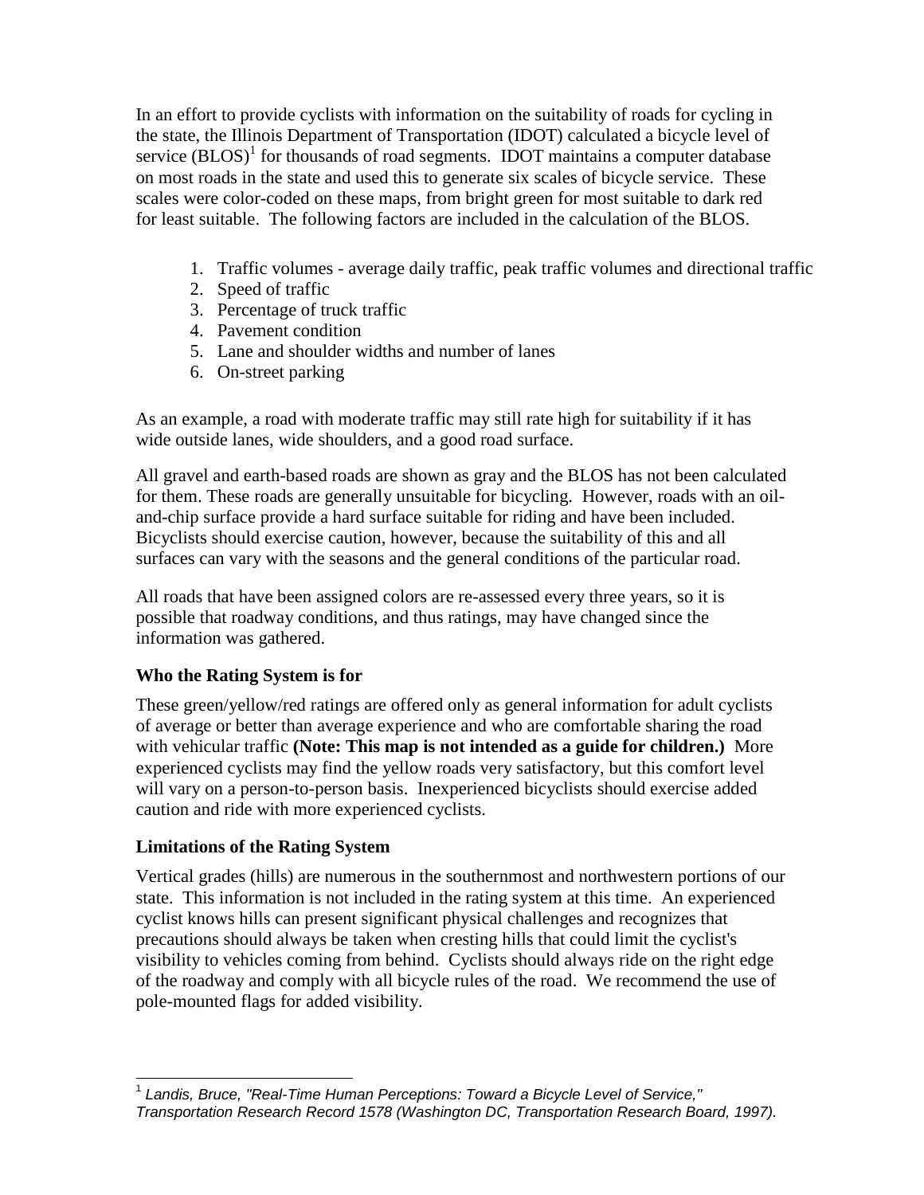In an effort to provide cyclists with information on the suitability of roads for cycling in the state, the Illinois Department of Transportation (IDOT) calculated a bicycle level of service  $(BLOS)^{1}$  for thousands of road segments. IDOT maintains a computer database on most roads in the state and used this to generate six scales of bicycle service. These scales were color-coded on these maps, from bright green for most suitable to dark red for least suitable. The following factors are included in the calculation of the BLOS.

- 1. Traffic volumes average daily traffic, peak traffic volumes and directional traffic
- 2. Speed of traffic
- 3. Percentage of truck traffic
- 4. Pavement condition
- 5. Lane and shoulder widths and number of lanes
- 6. On-street parking

As an example, a road with moderate traffic may still rate high for suitability if it has wide outside lanes, wide shoulders, and a good road surface.

All gravel and earth-based roads are shown as gray and the BLOS has not been calculated for them. These roads are generally unsuitable for bicycling. However, roads with an oiland-chip surface provide a hard surface suitable for riding and have been included. Bicyclists should exercise caution, however, because the suitability of this and all surfaces can vary with the seasons and the general conditions of the particular road.

All roads that have been assigned colors are re-assessed every three years, so it is possible that roadway conditions, and thus ratings, may have changed since the information was gathered.

## **Who the Rating System is for**

These green/yellow/red ratings are offered only as general information for adult cyclists of average or better than average experience and who are comfortable sharing the road with vehicular traffic **(Note: This map is not intended as a guide for children.)** More experienced cyclists may find the yellow roads very satisfactory, but this comfort level will vary on a person-to-person basis. Inexperienced bicyclists should exercise added caution and ride with more experienced cyclists.

## **Limitations of the Rating System**

Vertical grades (hills) are numerous in the southernmost and northwestern portions of our state. This information is not included in the rating system at this time. An experienced cyclist knows hills can present significant physical challenges and recognizes that precautions should always be taken when cresting hills that could limit the cyclist's visibility to vehicles coming from behind. Cyclists should always ride on the right edge of the roadway and comply with all bicycle rules of the road. We recommend the use of pole-mounted flags for added visibility.

 1 *Landis, Bruce, "Real-Time Human Perceptions: Toward a Bicycle Level of Service," Transportation Research Record 1578 (Washington DC, Transportation Research Board, 1997).*